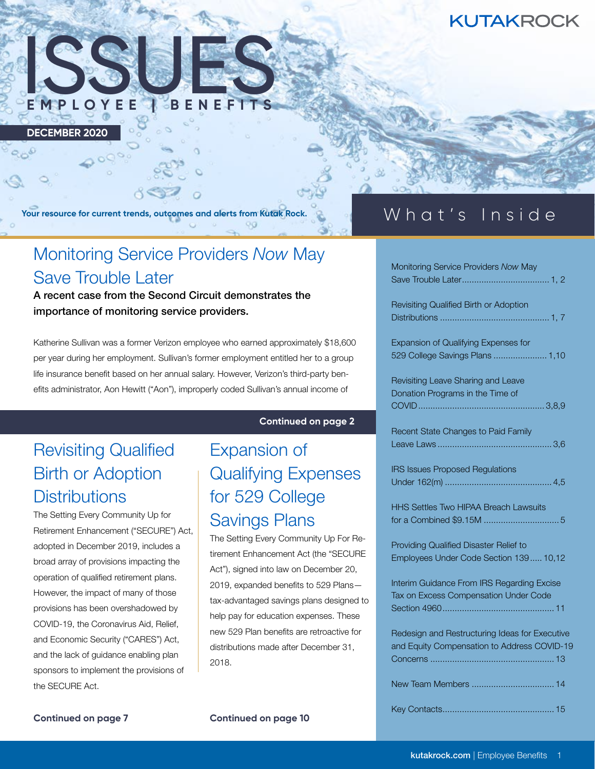## **KUTAKROCK**



**DECEMBER 2020**

**Your resource for current trends, outcomes and alerts from Kutak Rock.**

# Monitoring Service Providers *Now* May Save Trouble Later

A recent case from the Second Circuit demonstrates the importance of monitoring service providers.

Katherine Sullivan was a former Verizon employee who earned approximately \$18,600 per year during her employment. Sullivan's former employment entitled her to a group life insurance benefit based on her annual salary. However, Verizon's third-party benefits administrator, Aon Hewitt ("Aon"), improperly coded Sullivan's annual income of

### **Continued on page 2**

# Revisiting Qualified Birth or Adoption **Distributions**

The Setting Every Community Up for Retirement Enhancement ("SECURE") Act, adopted in December 2019, includes a broad array of provisions impacting the operation of qualified retirement plans. However, the impact of many of those provisions has been overshadowed by COVID-19, the Coronavirus Aid, Relief, and Economic Security ("CARES") Act, and the lack of guidance enabling plan sponsors to implement the provisions of the SECURE Act.

# Expansion of Qualifying Expenses for 529 College Savings Plans

The Setting Every Community Up For Retirement Enhancement Act (the "SECURE Act"), signed into law on December 20, 2019, expanded benefits to 529 Plans tax-advantaged savings plans designed to help pay for education expenses. These new 529 Plan benefits are retroactive for distributions made after December 31, 2018.

## What's Inside

| Monitoring Service Providers Now May |  |
|--------------------------------------|--|
|                                      |  |

Revisiting Qualified Birth or Adoption Distributions ............................................. 1, 7

Expansion of Qualifying Expenses for 529 College Savings Plans ...................... 1,10

Revisiting Leave Sharing and Leave Donation Programs in the Time of COVID.................................................... 3,8,9

Recent State Changes to Paid Family Leave Laws ............................................... 3,6

IRS Issues Proposed Regulations Under 162(m) ............................................ 4,5

HHS Settles Two HIPAA Breach Lawsuits for a Combined \$9.15M ............................... 5

Providing Qualified Disaster Relief to Employees Under Code Section 139..... 10,12

Interim Guidance From IRS Regarding Excise Tax on Excess Compensation Under Code Section 4960.............................................. 11

Redesign and Restructuring Ideas for Executive and Equity Compensation to Address COVID-19 Concerns ................................................... 13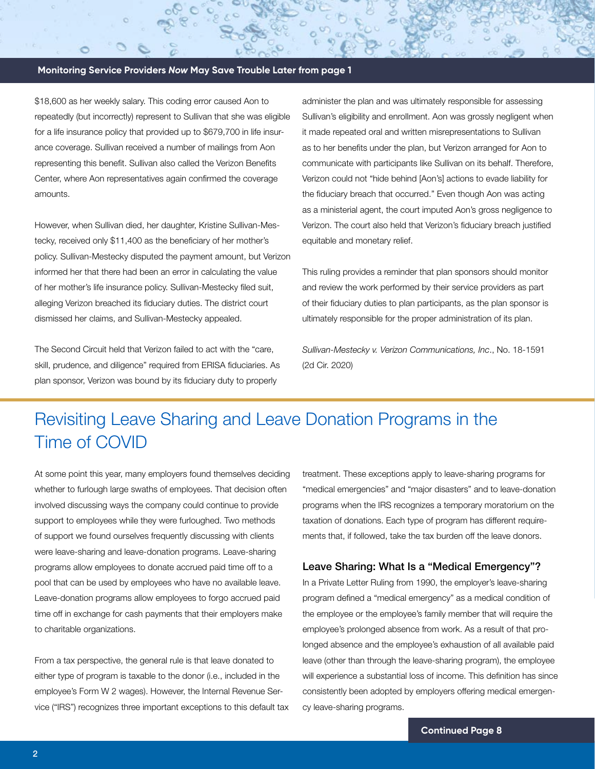### **Monitoring Service Providers** *Now* **May Save Trouble Later from page 1**

\$18,600 as her weekly salary. This coding error caused Aon to repeatedly (but incorrectly) represent to Sullivan that she was eligible for a life insurance policy that provided up to \$679,700 in life insurance coverage. Sullivan received a number of mailings from Aon representing this benefit. Sullivan also called the Verizon Benefits Center, where Aon representatives again confirmed the coverage amounts.

However, when Sullivan died, her daughter, Kristine Sullivan-Mestecky, received only \$11,400 as the beneficiary of her mother's policy. Sullivan-Mestecky disputed the payment amount, but Verizon informed her that there had been an error in calculating the value of her mother's life insurance policy. Sullivan-Mestecky filed suit, alleging Verizon breached its fiduciary duties. The district court dismissed her claims, and Sullivan-Mestecky appealed.

The Second Circuit held that Verizon failed to act with the "care, skill, prudence, and diligence" required from ERISA fiduciaries. As plan sponsor, Verizon was bound by its fiduciary duty to properly

administer the plan and was ultimately responsible for assessing Sullivan's eligibility and enrollment. Aon was grossly negligent when it made repeated oral and written misrepresentations to Sullivan as to her benefits under the plan, but Verizon arranged for Aon to communicate with participants like Sullivan on its behalf. Therefore, Verizon could not "hide behind [Aon's] actions to evade liability for the fiduciary breach that occurred." Even though Aon was acting as a ministerial agent, the court imputed Aon's gross negligence to Verizon. The court also held that Verizon's fiduciary breach justified equitable and monetary relief.

This ruling provides a reminder that plan sponsors should monitor and review the work performed by their service providers as part of their fiduciary duties to plan participants, as the plan sponsor is ultimately responsible for the proper administration of its plan.

*Sullivan-Mestecky v. Verizon Communications, Inc*., No. 18-1591 (2d Cir. 2020)

## Revisiting Leave Sharing and Leave Donation Programs in the Time of COVID

At some point this year, many employers found themselves deciding whether to furlough large swaths of employees. That decision often involved discussing ways the company could continue to provide support to employees while they were furloughed. Two methods of support we found ourselves frequently discussing with clients were leave-sharing and leave-donation programs. Leave-sharing programs allow employees to donate accrued paid time off to a pool that can be used by employees who have no available leave. Leave-donation programs allow employees to forgo accrued paid time off in exchange for cash payments that their employers make to charitable organizations.

From a tax perspective, the general rule is that leave donated to either type of program is taxable to the donor (i.e., included in the employee's Form W 2 wages). However, the Internal Revenue Service ("IRS") recognizes three important exceptions to this default tax

treatment. These exceptions apply to leave-sharing programs for "medical emergencies" and "major disasters" and to leave-donation programs when the IRS recognizes a temporary moratorium on the taxation of donations. Each type of program has different requirements that, if followed, take the tax burden off the leave donors.

#### Leave Sharing: What Is a "Medical Emergency"?

In a Private Letter Ruling from 1990, the employer's leave-sharing program defined a "medical emergency" as a medical condition of the employee or the employee's family member that will require the employee's prolonged absence from work. As a result of that prolonged absence and the employee's exhaustion of all available paid leave (other than through the leave-sharing program), the employee will experience a substantial loss of income. This definition has since consistently been adopted by employers offering medical emergency leave-sharing programs.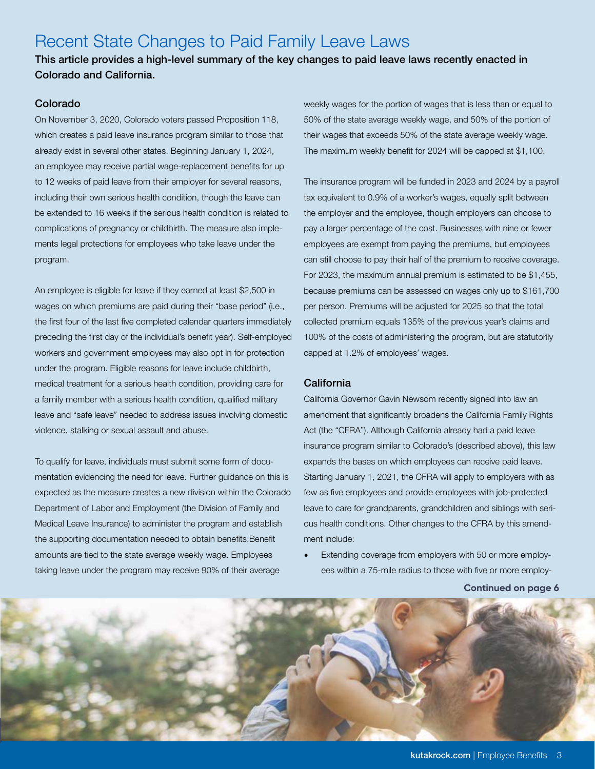## Recent State Changes to Paid Family Leave Laws

This article provides a high-level summary of the key changes to paid leave laws recently enacted in Colorado and California.

### Colorado

On November 3, 2020, Colorado voters passed Proposition 118, which creates a paid leave insurance program similar to those that already exist in several other states. Beginning January 1, 2024, an employee may receive partial wage-replacement benefits for up to 12 weeks of paid leave from their employer for several reasons, including their own serious health condition, though the leave can be extended to 16 weeks if the serious health condition is related to complications of pregnancy or childbirth. The measure also implements legal protections for employees who take leave under the program.

An employee is eligible for leave if they earned at least \$2,500 in wages on which premiums are paid during their "base period" (i.e., the first four of the last five completed calendar quarters immediately preceding the first day of the individual's benefit year). Self-employed workers and government employees may also opt in for protection under the program. Eligible reasons for leave include childbirth, medical treatment for a serious health condition, providing care for a family member with a serious health condition, qualified military leave and "safe leave" needed to address issues involving domestic violence, stalking or sexual assault and abuse.

To qualify for leave, individuals must submit some form of documentation evidencing the need for leave. Further guidance on this is expected as the measure creates a new division within the Colorado Department of Labor and Employment (the Division of Family and Medical Leave Insurance) to administer the program and establish the supporting documentation needed to obtain benefits.Benefit amounts are tied to the state average weekly wage. Employees taking leave under the program may receive 90% of their average

weekly wages for the portion of wages that is less than or equal to 50% of the state average weekly wage, and 50% of the portion of their wages that exceeds 50% of the state average weekly wage. The maximum weekly benefit for 2024 will be capped at \$1,100.

The insurance program will be funded in 2023 and 2024 by a payroll tax equivalent to 0.9% of a worker's wages, equally split between the employer and the employee, though employers can choose to pay a larger percentage of the cost. Businesses with nine or fewer employees are exempt from paying the premiums, but employees can still choose to pay their half of the premium to receive coverage. For 2023, the maximum annual premium is estimated to be \$1,455, because premiums can be assessed on wages only up to \$161,700 per person. Premiums will be adjusted for 2025 so that the total collected premium equals 135% of the previous year's claims and 100% of the costs of administering the program, but are statutorily capped at 1.2% of employees' wages.

### California

California Governor Gavin Newsom recently signed into law an amendment that significantly broadens the California Family Rights Act (the "CFRA"). Although California already had a paid leave insurance program similar to Colorado's (described above), this law expands the bases on which employees can receive paid leave. Starting January 1, 2021, the CFRA will apply to employers with as few as five employees and provide employees with job-protected leave to care for grandparents, grandchildren and siblings with serious health conditions. Other changes to the CFRA by this amendment include:

• Extending coverage from employers with 50 or more employees within a 75-mile radius to those with five or more employ-

**Continued on page 6**

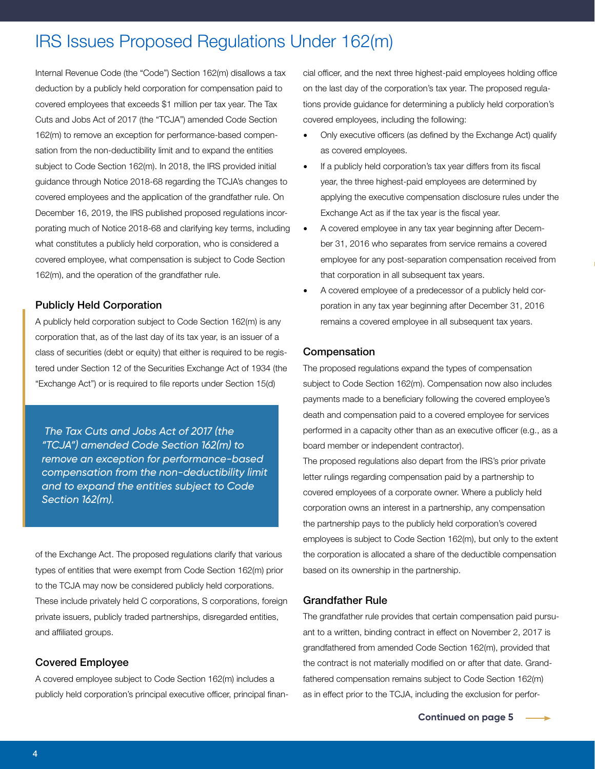## IRS Issues Proposed Regulations Under 162(m)

Internal Revenue Code (the "Code") Section 162(m) disallows a tax deduction by a publicly held corporation for compensation paid to covered employees that exceeds \$1 million per tax year. The Tax Cuts and Jobs Act of 2017 (the "TCJA") amended Code Section 162(m) to remove an exception for performance-based compensation from the non-deductibility limit and to expand the entities subject to Code Section 162(m). In 2018, the IRS provided initial guidance through Notice 2018-68 regarding the TCJA's changes to covered employees and the application of the grandfather rule. On December 16, 2019, the IRS published proposed regulations incorporating much of Notice 2018-68 and clarifying key terms, including what constitutes a publicly held corporation, who is considered a covered employee, what compensation is subject to Code Section 162(m), and the operation of the grandfather rule.

### Publicly Held Corporation

A publicly held corporation subject to Code Section 162(m) is any corporation that, as of the last day of its tax year, is an issuer of a class of securities (debt or equity) that either is required to be registered under Section 12 of the Securities Exchange Act of 1934 (the "Exchange Act") or is required to file reports under Section 15(d)

 *The Tax Cuts and Jobs Act of 2017 (the "TCJA") amended Code Section 162(m) to remove an exception for performance-based compensation from the non-deductibility limit and to expand the entities subject to Code Section 162(m).*

of the Exchange Act. The proposed regulations clarify that various types of entities that were exempt from Code Section 162(m) prior to the TCJA may now be considered publicly held corporations. These include privately held C corporations, S corporations, foreign private issuers, publicly traded partnerships, disregarded entities, and affiliated groups.

### Covered Employee

A covered employee subject to Code Section 162(m) includes a publicly held corporation's principal executive officer, principal financial officer, and the next three highest-paid employees holding office on the last day of the corporation's tax year. The proposed regulations provide guidance for determining a publicly held corporation's covered employees, including the following:

- Only executive officers (as defined by the Exchange Act) qualify as covered employees.
- If a publicly held corporation's tax year differs from its fiscal year, the three highest-paid employees are determined by applying the executive compensation disclosure rules under the Exchange Act as if the tax year is the fiscal year.
- A covered employee in any tax year beginning after December 31, 2016 who separates from service remains a covered employee for any post-separation compensation received from that corporation in all subsequent tax years.
- A covered employee of a predecessor of a publicly held corporation in any tax year beginning after December 31, 2016 remains a covered employee in all subsequent tax years.

### Compensation

The proposed regulations expand the types of compensation subject to Code Section 162(m). Compensation now also includes payments made to a beneficiary following the covered employee's death and compensation paid to a covered employee for services performed in a capacity other than as an executive officer (e.g., as a board member or independent contractor).

The proposed regulations also depart from the IRS's prior private letter rulings regarding compensation paid by a partnership to covered employees of a corporate owner. Where a publicly held corporation owns an interest in a partnership, any compensation the partnership pays to the publicly held corporation's covered employees is subject to Code Section 162(m), but only to the extent the corporation is allocated a share of the deductible compensation based on its ownership in the partnership.

### Grandfather Rule

The grandfather rule provides that certain compensation paid pursuant to a written, binding contract in effect on November 2, 2017 is grandfathered from amended Code Section 162(m), provided that the contract is not materially modified on or after that date. Grandfathered compensation remains subject to Code Section 162(m) as in effect prior to the TCJA, including the exclusion for perfor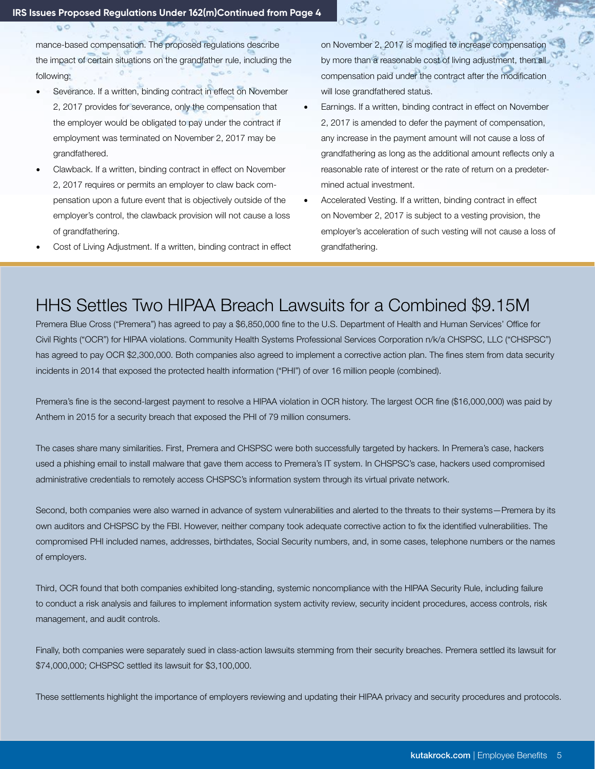$\sigma$ 

mance-based compensation. The proposed regulations describe the impact of certain situations on the grandfather rule, including the following:

- Severance. If a written, binding contract in effect on November 2, 2017 provides for severance, only the compensation that the employer would be obligated to pay under the contract if employment was terminated on November 2, 2017 may be grandfathered.
- Clawback. If a written, binding contract in effect on November 2, 2017 requires or permits an employer to claw back compensation upon a future event that is objectively outside of the employer's control, the clawback provision will not cause a loss of grandfathering.
- Cost of Living Adjustment. If a written, binding contract in effect

on November 2, 2017 is modified to increase compensation by more than a reasonable cost of living adjustment, then all compensation paid under the contract after the modification will lose grandfathered status.

- Earnings. If a written, binding contract in effect on November 2, 2017 is amended to defer the payment of compensation, any increase in the payment amount will not cause a loss of grandfathering as long as the additional amount reflects only a reasonable rate of interest or the rate of return on a predetermined actual investment.
- Accelerated Vesting. If a written, binding contract in effect on November 2, 2017 is subject to a vesting provision, the employer's acceleration of such vesting will not cause a loss of grandfathering.

## HHS Settles Two HIPAA Breach Lawsuits for a Combined \$9.15M

Premera Blue Cross ("Premera") has agreed to pay a \$6,850,000 fine to the U.S. Department of Health and Human Services' Office for Civil Rights ("OCR") for HIPAA violations. Community Health Systems Professional Services Corporation n/k/a CHSPSC, LLC ("CHSPSC") has agreed to pay OCR \$2,300,000. Both companies also agreed to implement a corrective action plan. The fines stem from data security incidents in 2014 that exposed the protected health information ("PHI") of over 16 million people (combined).

Premera's fine is the second-largest payment to resolve a HIPAA violation in OCR history. The largest OCR fine (\$16,000,000) was paid by Anthem in 2015 for a security breach that exposed the PHI of 79 million consumers.

The cases share many similarities. First, Premera and CHSPSC were both successfully targeted by hackers. In Premera's case, hackers used a phishing email to install malware that gave them access to Premera's IT system. In CHSPSC's case, hackers used compromised administrative credentials to remotely access CHSPSC's information system through its virtual private network.

Second, both companies were also warned in advance of system vulnerabilities and alerted to the threats to their systems—Premera by its own auditors and CHSPSC by the FBI. However, neither company took adequate corrective action to fix the identified vulnerabilities. The compromised PHI included names, addresses, birthdates, Social Security numbers, and, in some cases, telephone numbers or the names of employers.

Third, OCR found that both companies exhibited long-standing, systemic noncompliance with the HIPAA Security Rule, including failure to conduct a risk analysis and failures to implement information system activity review, security incident procedures, access controls, risk management, and audit controls.

Finally, both companies were separately sued in class-action lawsuits stemming from their security breaches. Premera settled its lawsuit for \$74,000,000; CHSPSC settled its lawsuit for \$3,100,000.

These settlements highlight the importance of employers reviewing and updating their HIPAA privacy and security procedures and protocols.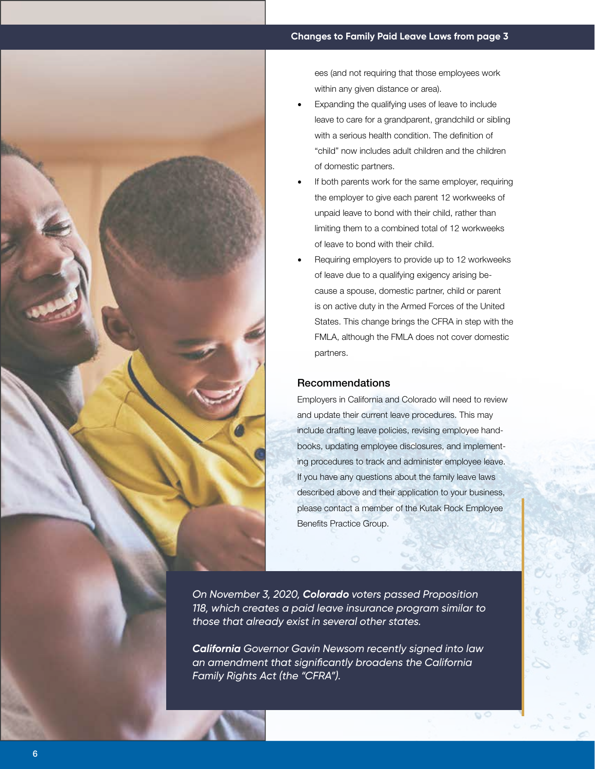

ees (and not requiring that those employees work within any given distance or area).

- Expanding the qualifying uses of leave to include leave to care for a grandparent, grandchild or sibling with a serious health condition. The definition of "child" now includes adult children and the children of domestic partners.
- If both parents work for the same employer, requiring the employer to give each parent 12 workweeks of unpaid leave to bond with their child, rather than limiting them to a combined total of 12 workweeks of leave to bond with their child.
- Requiring employers to provide up to 12 workweeks of leave due to a qualifying exigency arising because a spouse, domestic partner, child or parent is on active duty in the Armed Forces of the United States. This change brings the CFRA in step with the FMLA, although the FMLA does not cover domestic partners.

### Recommendations

Employers in California and Colorado will need to review and update their current leave procedures. This may include drafting leave policies, revising employee handbooks, updating employee disclosures, and implementing procedures to track and administer employee leave. If you have any questions about the family leave laws described above and their application to your business, please contact a member of the Kutak Rock Employee Benefits Practice Group.

*On November 3, 2020, Colorado voters passed Proposition 118, which creates a paid leave insurance program similar to those that already exist in several other states.* 

*California Governor Gavin Newsom recently signed into law an amendment that significantly broadens the California Family Rights Act (the "CFRA").*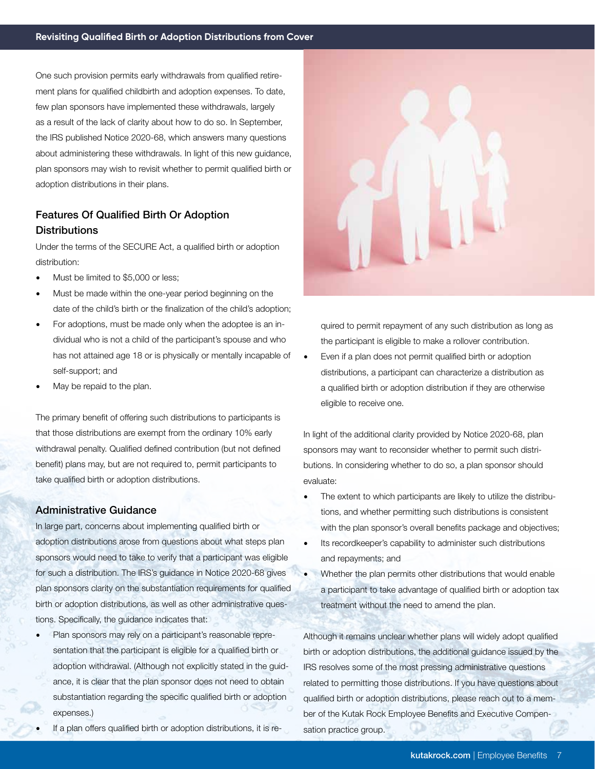One such provision permits early withdrawals from qualified retirement plans for qualified childbirth and adoption expenses. To date, few plan sponsors have implemented these withdrawals, largely as a result of the lack of clarity about how to do so. In September, the IRS published Notice 2020-68, which answers many questions about administering these withdrawals. In light of this new guidance, plan sponsors may wish to revisit whether to permit qualified birth or adoption distributions in their plans.

## Features Of Qualified Birth Or Adoption **Distributions**

Under the terms of the SECURE Act, a qualified birth or adoption distribution:

- Must be limited to \$5,000 or less;
- Must be made within the one-year period beginning on the date of the child's birth or the finalization of the child's adoption;
- For adoptions, must be made only when the adoptee is an individual who is not a child of the participant's spouse and who has not attained age 18 or is physically or mentally incapable of self-support; and
- May be repaid to the plan.

The primary benefit of offering such distributions to participants is that those distributions are exempt from the ordinary 10% early withdrawal penalty. Qualified defined contribution (but not defined benefit) plans may, but are not required to, permit participants to take qualified birth or adoption distributions.

#### Administrative Guidance

In large part, concerns about implementing qualified birth or adoption distributions arose from questions about what steps plan sponsors would need to take to verify that a participant was eligible for such a distribution. The IRS's guidance in Notice 2020-68 gives plan sponsors clarity on the substantiation requirements for qualified birth or adoption distributions, as well as other administrative questions. Specifically, the guidance indicates that:

- Plan sponsors may rely on a participant's reasonable representation that the participant is eligible for a qualified birth or adoption withdrawal. (Although not explicitly stated in the guidance, it is clear that the plan sponsor does not need to obtain substantiation regarding the specific qualified birth or adoption expenses.)
- If a plan offers qualified birth or adoption distributions, it is re-



quired to permit repayment of any such distribution as long as the participant is eligible to make a rollover contribution.

• Even if a plan does not permit qualified birth or adoption distributions, a participant can characterize a distribution as a qualified birth or adoption distribution if they are otherwise eligible to receive one.

In light of the additional clarity provided by Notice 2020-68, plan sponsors may want to reconsider whether to permit such distributions. In considering whether to do so, a plan sponsor should evaluate:

- The extent to which participants are likely to utilize the distributions, and whether permitting such distributions is consistent with the plan sponsor's overall benefits package and objectives;
- Its recordkeeper's capability to administer such distributions and repayments; and
- Whether the plan permits other distributions that would enable a participant to take advantage of qualified birth or adoption tax treatment without the need to amend the plan.

Although it remains unclear whether plans will widely adopt qualified birth or adoption distributions, the additional guidance issued by the IRS resolves some of the most pressing administrative questions related to permitting those distributions. If you have questions about qualified birth or adoption distributions, please reach out to a member of the Kutak Rock Employee Benefits and Executive Compensation practice group.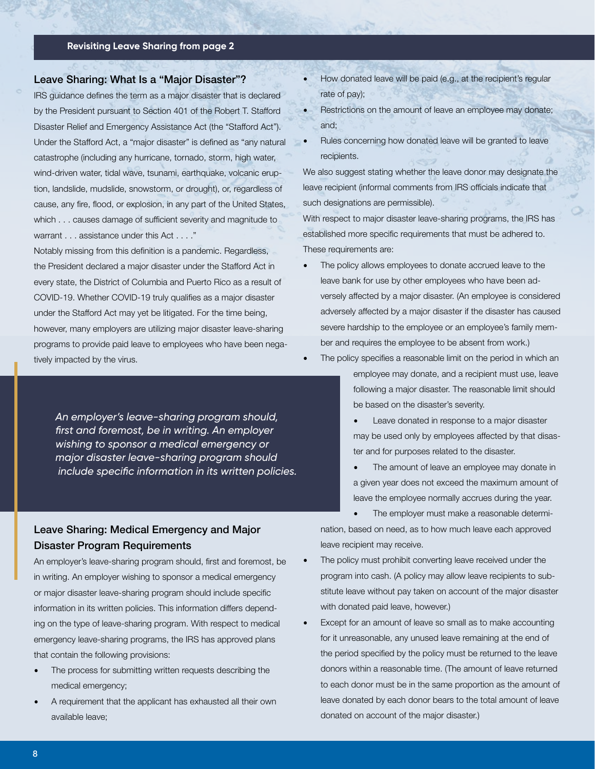#### **Revisiting Leave Sharing from page 2**

#### Leave Sharing: What Is a "Major Disaster"?

IRS guidance defines the term as a major disaster that is declared by the President pursuant to Section 401 of the Robert T. Stafford Disaster Relief and Emergency Assistance Act (the "Stafford Act"). Under the Stafford Act, a "major disaster" is defined as "any natural catastrophe (including any hurricane, tornado, storm, high water, wind-driven water, tidal wave, tsunami, earthquake, volcanic eruption, landslide, mudslide, snowstorm, or drought), or, regardless of cause, any fire, flood, or explosion, in any part of the United States, which . . . causes damage of sufficient severity and magnitude to warrant . . . assistance under this Act . . . ."

Notably missing from this definition is a pandemic. Regardless, the President declared a major disaster under the Stafford Act in every state, the District of Columbia and Puerto Rico as a result of COVID-19. Whether COVID-19 truly qualifies as a major disaster under the Stafford Act may yet be litigated. For the time being, however, many employers are utilizing major disaster leave-sharing programs to provide paid leave to employees who have been negatively impacted by the virus.

*An employer's leave-sharing program should, first and foremost, be in writing. An employer wishing to sponsor a medical emergency or major disaster leave-sharing program should include specific information in its written policies.*

## Leave Sharing: Medical Emergency and Major Disaster Program Requirements

An employer's leave-sharing program should, first and foremost, be in writing. An employer wishing to sponsor a medical emergency or major disaster leave-sharing program should include specific information in its written policies. This information differs depending on the type of leave-sharing program. With respect to medical emergency leave-sharing programs, the IRS has approved plans that contain the following provisions:

- The process for submitting written requests describing the medical emergency;
- A requirement that the applicant has exhausted all their own available leave;
- How donated leave will be paid (e.g., at the recipient's regular rate of pay);
- Restrictions on the amount of leave an employee may donate; and;
- Rules concerning how donated leave will be granted to leave recipients.

We also suggest stating whether the leave donor may designate the leave recipient (informal comments from IRS officials indicate that such designations are permissible).

With respect to major disaster leave-sharing programs, the IRS has established more specific requirements that must be adhered to. These requirements are:

- The policy allows employees to donate accrued leave to the leave bank for use by other employees who have been adversely affected by a major disaster. (An employee is considered adversely affected by a major disaster if the disaster has caused severe hardship to the employee or an employee's family member and requires the employee to be absent from work.)
	- The policy specifies a reasonable limit on the period in which an employee may donate, and a recipient must use, leave following a major disaster. The reasonable limit should be based on the disaster's severity.
		- Leave donated in response to a major disaster may be used only by employees affected by that disaster and for purposes related to the disaster.
		- The amount of leave an employee may donate in a given year does not exceed the maximum amount of leave the employee normally accrues during the year.

The employer must make a reasonable determination, based on need, as to how much leave each approved leave recipient may receive.

- The policy must prohibit converting leave received under the program into cash. (A policy may allow leave recipients to substitute leave without pay taken on account of the major disaster with donated paid leave, however.)
- Except for an amount of leave so small as to make accounting for it unreasonable, any unused leave remaining at the end of the period specified by the policy must be returned to the leave donors within a reasonable time. (The amount of leave returned to each donor must be in the same proportion as the amount of leave donated by each donor bears to the total amount of leave donated on account of the major disaster.)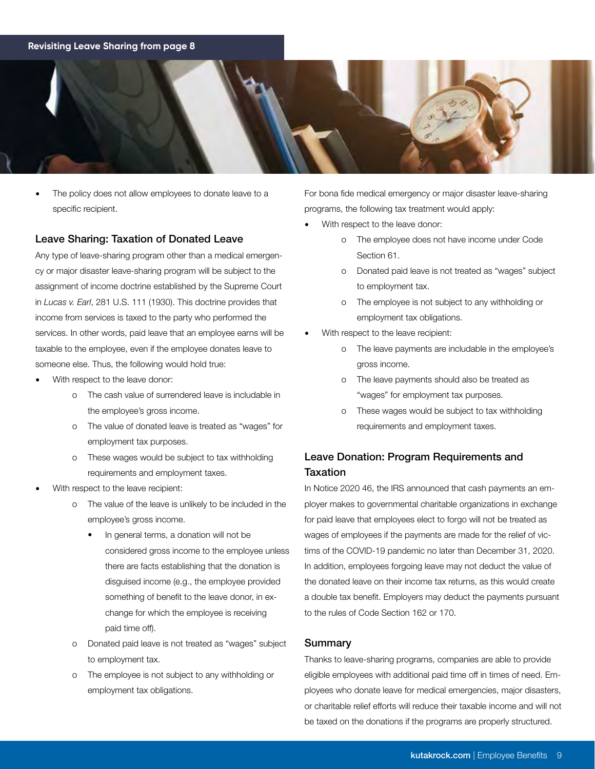### **Revisiting Leave Sharing from page 8**



The policy does not allow employees to donate leave to a specific recipient.

### Leave Sharing: Taxation of Donated Leave

Any type of leave-sharing program other than a medical emergency or major disaster leave-sharing program will be subject to the assignment of income doctrine established by the Supreme Court in *Lucas v. Earl*, 281 U.S. 111 (1930). This doctrine provides that income from services is taxed to the party who performed the services. In other words, paid leave that an employee earns will be taxable to the employee, even if the employee donates leave to someone else. Thus, the following would hold true:

- With respect to the leave donor:
	- o The cash value of surrendered leave is includable in the employee's gross income.
	- o The value of donated leave is treated as "wages" for employment tax purposes.
	- o These wages would be subject to tax withholding requirements and employment taxes.
- With respect to the leave recipient:
	- o The value of the leave is unlikely to be included in the employee's gross income.
		- In general terms, a donation will not be considered gross income to the employee unless there are facts establishing that the donation is disguised income (e.g., the employee provided something of benefit to the leave donor, in ex change for which the employee is receiving paid time off).
	- o Donated paid leave is not treated as "wages" subject to employment tax.
	- o The employee is not subject to any withholding or employment tax obligations.

For bona fide medical emergency or major disaster leave-sharing programs, the following tax treatment would apply:

- With respect to the leave donor:
	- o The employee does not have income under Code Section 61.
	- o Donated paid leave is not treated as "wages" subject to employment tax.
	- o The employee is not subject to any withholding or employment tax obligations.
- With respect to the leave recipient:
	- o The leave payments are includable in the employee's gross income.
	- o The leave payments should also be treated as "wages" for employment tax purposes.
	- o These wages would be subject to tax withholding requirements and employment taxes.

## Leave Donation: Program Requirements and Taxation

In Notice 2020 46, the IRS announced that cash payments an employer makes to governmental charitable organizations in exchange for paid leave that employees elect to forgo will not be treated as wages of employees if the payments are made for the relief of victims of the COVID-19 pandemic no later than December 31, 2020. In addition, employees forgoing leave may not deduct the value of the donated leave on their income tax returns, as this would create a double tax benefit. Employers may deduct the payments pursuant to the rules of Code Section 162 or 170.

#### Summary

Thanks to leave-sharing programs, companies are able to provide eligible employees with additional paid time off in times of need. Employees who donate leave for medical emergencies, major disasters, or charitable relief efforts will reduce their taxable income and will not be taxed on the donations if the programs are properly structured.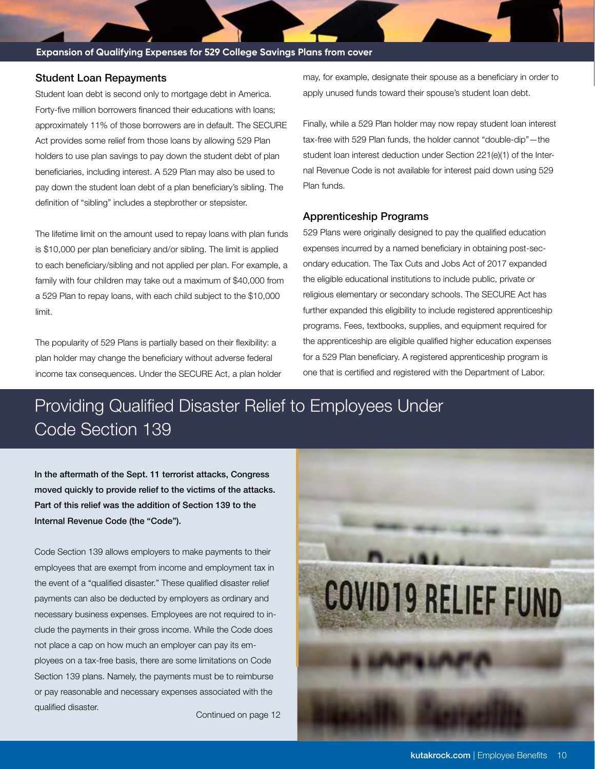#### **Expansion of Qualifying Expenses for 529 College Savings Plans from cover**

#### Student Loan Repayments

Student loan debt is second only to mortgage debt in America. Forty-five million borrowers financed their educations with loans; approximately 11% of those borrowers are in default. The SECURE Act provides some relief from those loans by allowing 529 Plan holders to use plan savings to pay down the student debt of plan beneficiaries, including interest. A 529 Plan may also be used to pay down the student loan debt of a plan beneficiary's sibling. The definition of "sibling" includes a stepbrother or stepsister.

The lifetime limit on the amount used to repay loans with plan funds is \$10,000 per plan beneficiary and/or sibling. The limit is applied to each beneficiary/sibling and not applied per plan. For example, a family with four children may take out a maximum of \$40,000 from a 529 Plan to repay loans, with each child subject to the \$10,000 limit.

The popularity of 529 Plans is partially based on their flexibility: a plan holder may change the beneficiary without adverse federal income tax consequences. Under the SECURE Act, a plan holder may, for example, designate their spouse as a beneficiary in order to apply unused funds toward their spouse's student loan debt.

Finally, while a 529 Plan holder may now repay student loan interest tax-free with 529 Plan funds, the holder cannot "double-dip"—the student loan interest deduction under Section 221(e)(1) of the Internal Revenue Code is not available for interest paid down using 529 Plan funds.

#### Apprenticeship Programs

529 Plans were originally designed to pay the qualified education expenses incurred by a named beneficiary in obtaining post-secondary education. The Tax Cuts and Jobs Act of 2017 expanded the eligible educational institutions to include public, private or religious elementary or secondary schools. The SECURE Act has further expanded this eligibility to include registered apprenticeship programs. Fees, textbooks, supplies, and equipment required for the apprenticeship are eligible qualified higher education expenses for a 529 Plan beneficiary. A registered apprenticeship program is one that is certified and registered with the Department of Labor.

# Providing Qualified Disaster Relief to Employees Under Code Section 139

In the aftermath of the Sept. 11 terrorist attacks, Congress moved quickly to provide relief to the victims of the attacks. Part of this relief was the addition of Section 139 to the Internal Revenue Code (the "Code").

Code Section 139 allows employers to make payments to their employees that are exempt from income and employment tax in the event of a "qualified disaster." These qualified disaster relief payments can also be deducted by employers as ordinary and necessary business expenses. Employees are not required to include the payments in their gross income. While the Code does not place a cap on how much an employer can pay its employees on a tax-free basis, there are some limitations on Code Section 139 plans. Namely, the payments must be to reimburse or pay reasonable and necessary expenses associated with the qualified disaster.

Continued on page 12

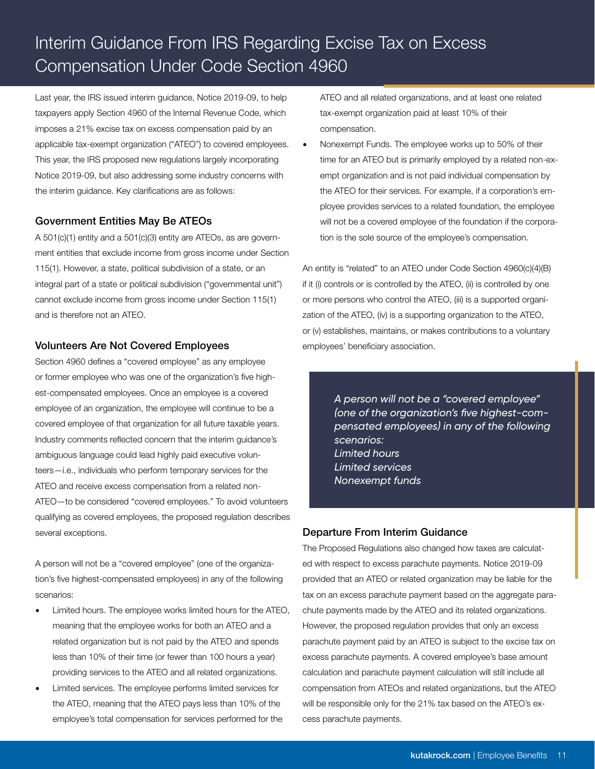# Interim Guidance From IRS Regarding Excise Tax on Excess Compensation Under Code Section 4960

Last year, the IRS issued interim guidance, Notice 2019-09, to help taxpayers apply Section 4960 of the Internal Revenue Code, which imposes a 21% excise tax on excess compensation paid by an applicable tax-exempt organization ("ATEO") to covered employees. This year, the IRS proposed new regulations largely incorporating Notice 2019-09, but also addressing some industry concerns with the interim guidance. Key clarifications are as follows:

### Government Entities May Be ATEOs

A 501(c)(1) entity and a 501(c)(3) entity are ATEOs, as are government entities that exclude income from gross income under Section 115(1). However, a state, political subdivision of a state, or an integral part of a state or political subdivision ("governmental unit") cannot exclude income from gross income under Section 115(1) and is therefore not an ATEO.

### Volunteers Are Not Covered Employees

Section 4960 defines a "covered employee" as any employee or former employee who was one of the organization's five highest-compensated employees. Once an employee is a covered employee of an organization, the employee will continue to be a covered employee of that organization for all future taxable years. Industry comments reflected concern that the interim guidance's ambiguous language could lead highly paid executive volunteers—i.e., individuals who perform temporary services for the ATEO and receive excess compensation from a related non-ATEO—to be considered "covered employees." To avoid volunteers qualifying as covered employees, the proposed regulation describes several exceptions.

A person will not be a "covered employee" (one of the organization's five highest-compensated employees) in any of the following scenarios:

- Limited hours. The employee works limited hours for the ATEO, meaning that the employee works for both an ATEO and a related organization but is not paid by the ATEO and spends less than 10% of their time (or fewer than 100 hours a year) providing services to the ATEO and all related organizations.
- Limited services. The employee performs limited services for the ATEO, meaning that the ATEO pays less than 10% of the employee's total compensation for services performed for the

ATEO and all related organizations, and at least one related tax-exempt organization paid at least 10% of their compensation.

• Nonexempt Funds. The employee works up to 50% of their time for an ATEO but is primarily employed by a related non-exempt organization and is not paid individual compensation by the ATEO for their services. For example, if a corporation's employee provides services to a related foundation, the employee will not be a covered employee of the foundation if the corporation is the sole source of the employee's compensation.

An entity is "related" to an ATEO under Code Section 4960(c)(4)(B) if it (i) controls or is controlled by the ATEO, (ii) is controlled by one or more persons who control the ATEO, (iii) is a supported organization of the ATEO, (iv) is a supporting organization to the ATEO, or (v) establishes, maintains, or makes contributions to a voluntary employees' beneficiary association.

> *A person will not be a "covered employee" (one of the organization's five highest-compensated employees) in any of the following scenarios: Limited hours Limited services Nonexempt funds*

## Departure From Interim Guidance

The Proposed Regulations also changed how taxes are calculated with respect to excess parachute payments. Notice 2019-09 provided that an ATEO or related organization may be liable for the tax on an excess parachute payment based on the aggregate parachute payments made by the ATEO and its related organizations. However, the proposed regulation provides that only an excess parachute payment paid by an ATEO is subject to the excise tax on excess parachute payments. A covered employee's base amount calculation and parachute payment calculation will still include all compensation from ATEOs and related organizations, but the ATEO will be responsible only for the 21% tax based on the ATEO's excess parachute payments.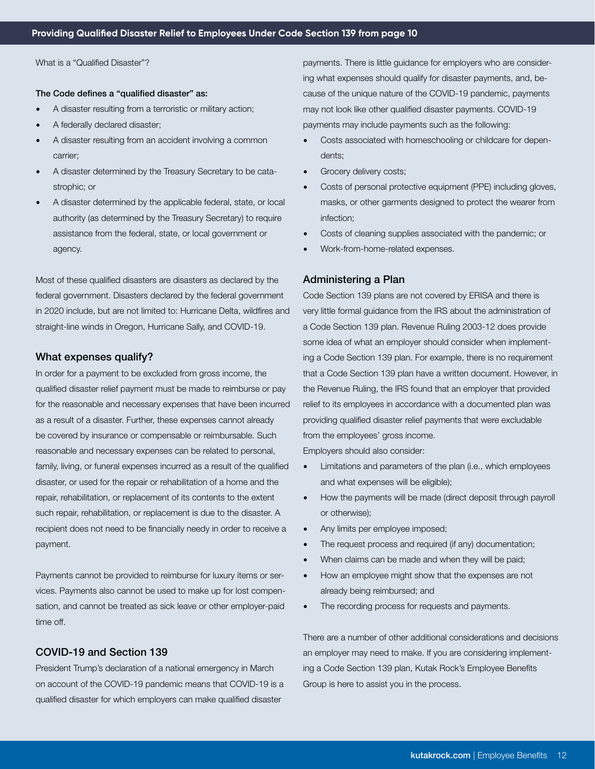What is a "Qualified Disaster"?

#### The Code defines a "qualified disaster" as:

- A disaster resulting from a terroristic or military action;
- A federally declared disaster;
- A disaster resulting from an accident involving a common carrier;
- A disaster determined by the Treasury Secretary to be catastrophic; or
- A disaster determined by the applicable federal, state, or local authority (as determined by the Treasury Secretary) to require assistance from the federal, state, or local government or agency.

Most of these qualified disasters are disasters as declared by the federal government. Disasters declared by the federal government in 2020 include, but are not limited to: Hurricane Delta, wildfires and straight-line winds in Oregon, Hurricane Sally, and COVID-19.

### What expenses qualify?

In order for a payment to be excluded from gross income, the qualified disaster relief payment must be made to reimburse or pay for the reasonable and necessary expenses that have been incurred as a result of a disaster. Further, these expenses cannot already be covered by insurance or compensable or reimbursable. Such reasonable and necessary expenses can be related to personal, family, living, or funeral expenses incurred as a result of the qualified disaster, or used for the repair or rehabilitation of a home and the repair, rehabilitation, or replacement of its contents to the extent such repair, rehabilitation, or replacement is due to the disaster. A recipient does not need to be financially needy in order to receive a payment.

Payments cannot be provided to reimburse for luxury items or services. Payments also cannot be used to make up for lost compensation, and cannot be treated as sick leave or other employer-paid time off.

#### COVID-19 and Section 139

President Trump's declaration of a national emergency in March on account of the COVID-19 pandemic means that COVID-19 is a qualified disaster for which employers can make qualified disaster

payments. There is little guidance for employers who are considering what expenses should qualify for disaster payments, and, because of the unique nature of the COVID-19 pandemic, payments may not look like other qualified disaster payments. COVID-19 payments may include payments such as the following:

- Costs associated with homeschooling or childcare for dependents;
- Grocery delivery costs;
- Costs of personal protective equipment (PPE) including gloves, masks, or other garments designed to protect the wearer from infection;
- Costs of cleaning supplies associated with the pandemic; or
- Work-from-home-related expenses.

#### Administering a Plan

Code Section 139 plans are not covered by ERISA and there is very little formal guidance from the IRS about the administration of a Code Section 139 plan. Revenue Ruling 2003-12 does provide some idea of what an employer should consider when implementing a Code Section 139 plan. For example, there is no requirement that a Code Section 139 plan have a written document. However, in the Revenue Ruling, the IRS found that an employer that provided relief to its employees in accordance with a documented plan was providing qualified disaster relief payments that were excludable from the employees' gross income.

Employers should also consider:

- Limitations and parameters of the plan (i.e., which employees and what expenses will be eligible);
- How the payments will be made (direct deposit through payroll or otherwise);
- Any limits per employee imposed;
- The request process and required (if any) documentation;
- When claims can be made and when they will be paid;
- How an employee might show that the expenses are not already being reimbursed; and
- The recording process for requests and payments.

There are a number of other additional considerations and decisions an employer may need to make. If you are considering implementing a Code Section 139 plan, Kutak Rock's Employee Benefits Group is here to assist you in the process.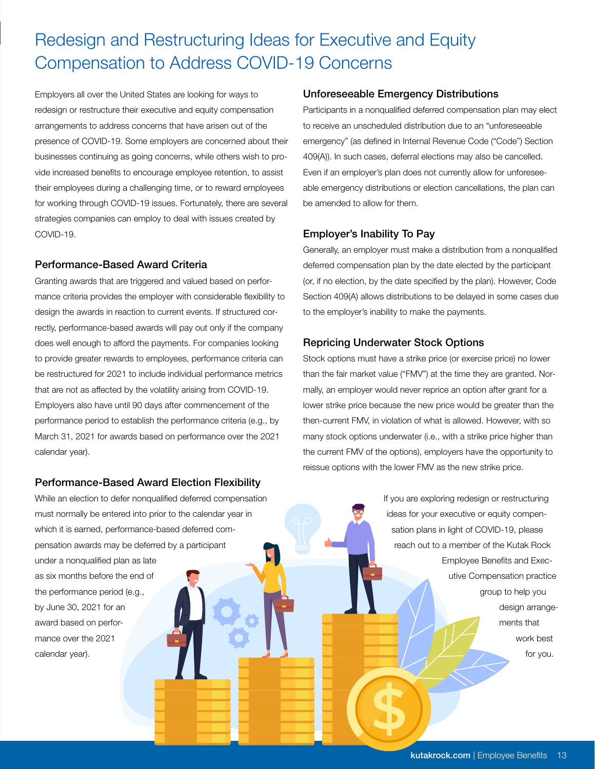# Redesign and Restructuring Ideas for Executive and Equity Compensation to Address COVID-19 Concerns

Employers all over the United States are looking for ways to redesign or restructure their executive and equity compensation arrangements to address concerns that have arisen out of the presence of COVID-19. Some employers are concerned about their businesses continuing as going concerns, while others wish to provide increased benefits to encourage employee retention, to assist their employees during a challenging time, or to reward employees for working through COVID-19 issues. Fortunately, there are several strategies companies can employ to deal with issues created by COVID-19.

## Performance-Based Award Criteria

Granting awards that are triggered and valued based on performance criteria provides the employer with considerable flexibility to design the awards in reaction to current events. If structured correctly, performance-based awards will pay out only if the company does well enough to afford the payments. For companies looking to provide greater rewards to employees, performance criteria can be restructured for 2021 to include individual performance metrics that are not as affected by the volatility arising from COVID-19. Employers also have until 90 days after commencement of the performance period to establish the performance criteria (e.g., by March 31, 2021 for awards based on performance over the 2021 calendar year).

## Performance-Based Award Election Flexibility

While an election to defer nonqualified deferred compensation must normally be entered into prior to the calendar year in which it is earned, performance-based deferred compensation awards may be deferred by a participant under a nonqualified plan as late as six months before the end of the performance period (e.g., by June 30, 2021 for an award based on performance over the 2021 calendar year).

## Unforeseeable Emergency Distributions

Participants in a nonqualified deferred compensation plan may elect to receive an unscheduled distribution due to an "unforeseeable emergency" (as defined in Internal Revenue Code ("Code") Section 409(A)). In such cases, deferral elections may also be cancelled. Even if an employer's plan does not currently allow for unforeseeable emergency distributions or election cancellations, the plan can be amended to allow for them.

## Employer's Inability To Pay

Generally, an employer must make a distribution from a nonqualified deferred compensation plan by the date elected by the participant (or, if no election, by the date specified by the plan). However, Code Section 409(A) allows distributions to be delayed in some cases due to the employer's inability to make the payments.

## Repricing Underwater Stock Options

Stock options must have a strike price (or exercise price) no lower than the fair market value ("FMV") at the time they are granted. Normally, an employer would never reprice an option after grant for a lower strike price because the new price would be greater than the then-current FMV, in violation of what is allowed. However, with so many stock options underwater (i.e., with a strike price higher than the current FMV of the options), employers have the opportunity to reissue options with the lower FMV as the new strike price.

> If you are exploring redesign or restructuring ideas for your executive or equity compensation plans in light of COVID-19, please reach out to a member of the Kutak Rock Employee Benefits and Executive Compensation practice group to help you design arrangements that work best for you.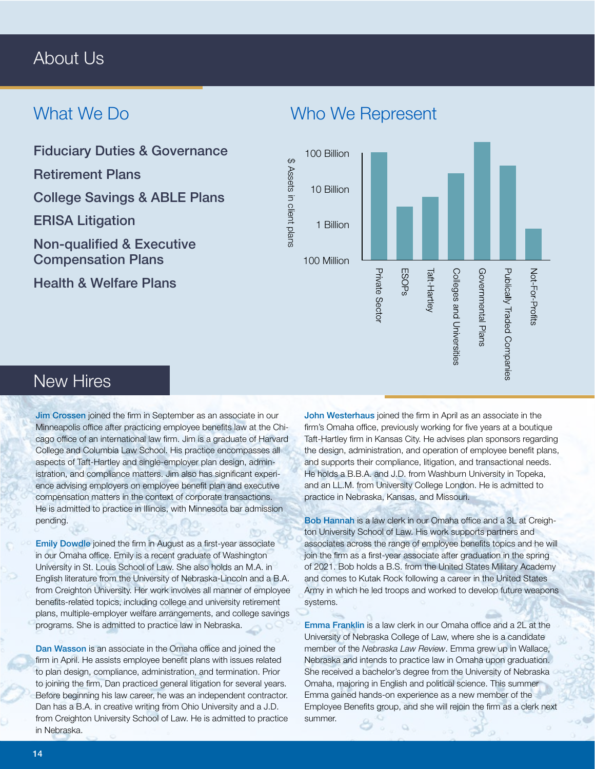## About Us

## What We Do

Fiduciary Duties & Governance

Retirement Plans

College Savings & ABLE Plans

ERISA Litigation

Non-qualified & Executive Compensation Plans

Health & Welfare Plans

## Who We Represent



## New Hires

Jim Crossen joined the firm in September as an associate in our Minneapolis office after practicing employee benefits law at the Chicago office of an international law firm. Jim is a graduate of Harvard College and Columbia Law School. His practice encompasses all aspects of Taft-Hartley and single-employer plan design, administration, and compliance matters. Jim also has significant experience advising employers on employee benefit plan and executive compensation matters in the context of corporate transactions. He is admitted to practice in Illinois, with Minnesota bar admission pending.

Emily Dowdle joined the firm in August as a first-year associate in our Omaha office. Emily is a recent graduate of Washington University in St. Louis School of Law. She also holds an M.A. in English literature from the University of Nebraska-Lincoln and a B.A. from Creighton University. Her work involves all manner of employee benefits-related topics, including college and university retirement plans, multiple-employer welfare arrangements, and college savings programs. She is admitted to practice law in Nebraska.

Dan Wasson is an associate in the Omaha office and joined the firm in April. He assists employee benefit plans with issues related to plan design, compliance, administration, and termination. Prior to joining the firm, Dan practiced general litigation for several years. Before beginning his law career, he was an independent contractor. Dan has a B.A. in creative writing from Ohio University and a J.D. from Creighton University School of Law. He is admitted to practice in Nebraska.

John Westerhaus joined the firm in April as an associate in the firm's Omaha office, previously working for five years at a boutique Taft-Hartley firm in Kansas City. He advises plan sponsors regarding the design, administration, and operation of employee benefit plans, and supports their compliance, litigation, and transactional needs. He holds a B.B.A. and J.D. from Washburn University in Topeka, and an LL.M. from University College London. He is admitted to practice in Nebraska, Kansas, and Missouri.

Bob Hannah is a law clerk in our Omaha office and a 3L at Creighton University School of Law. His work supports partners and associates across the range of employee benefits topics and he will join the firm as a first-year associate after graduation in the spring of 2021. Bob holds a B.S. from the United States Military Academy and comes to Kutak Rock following a career in the United States Army in which he led troops and worked to develop future weapons systems.

Emma Franklin is a law clerk in our Omaha office and a 2L at the University of Nebraska College of Law, where she is a candidate member of the *Nebraska Law Review*. Emma grew up in Wallace, Nebraska and intends to practice law in Omaha upon graduation. She received a bachelor's degree from the University of Nebraska Omaha, majoring in English and political science. This summer Emma gained hands-on experience as a new member of the Employee Benefits group, and she will rejoin the firm as a clerk next summer.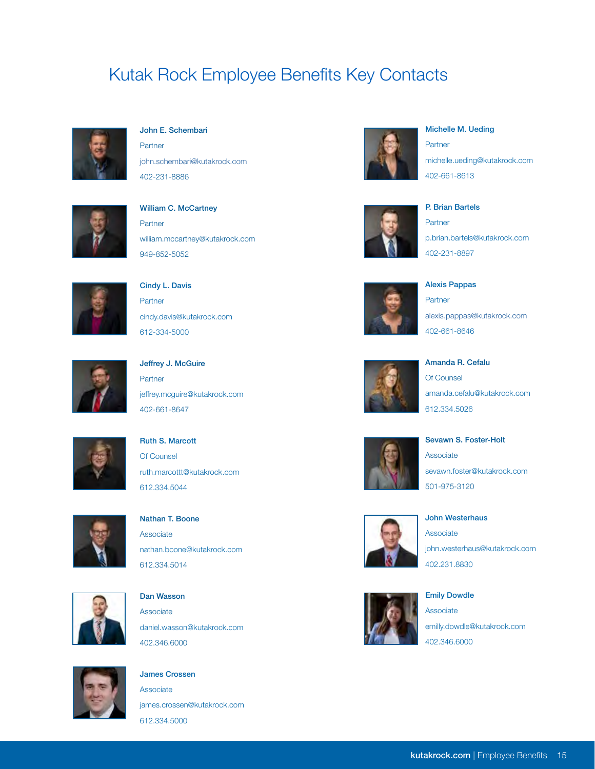## Kutak Rock Employee Benefits Key Contacts



#### John E. Schembari

**Partner** [john.schembari@kutakrock.com](mailto:john.schembari@kutakrock.com
) 402-231-8886



## William C. McCartney Partner [william.mccartney@kutakrock.com](mailto:William.McCartney@KutakRock.com) 949-852-5052



## Cindy L. Davis Partner [cindy.davis@kutakrock.com](mailto:Cindy.Davis@KutakRock.com) 612-334-5000



## Jeffrey J. McGuire Partner [jeffrey.mcguire@kutakrock.com](mailto:Jeffrey.McGuire@KutakRock.com
) 402-661-8647



## Ruth S. Marcott Of Counsel [ruth.marcottt@kutakrock.com](mailto:ruth.marcottt@kutakrock.com
) 612.334.5044



## Nathan T. Boone **Associate** [nathan.boone@kutakrock.com](mailto:nathan.boone@kutakrock.com
) 612.334.5014



## Dan Wasson Associate

[daniel.wasson@kutakrock.com](mailto:daniel.wasson@kutakrock.com
) 402.346.6000



# James Crossen Associate

[james.crossen@kutakrock.com](mailto:james.crossen@kutakrock.com
) 612.334.5000



### Michelle M. Ueding

**Partner** [michelle.ueding@kutakrock.com](mailto:Michelle.Ueding@KutakRock.com
) 402-661-8613



### P. Brian Bartels Partner

p.[brian.bartels@kutakrock.com](mailto:Brian.Bartels@KutakRock.com) 402-231-8897



Alexis Pappas Partner [alexis.pappas@kutakrock.com](mailto:alexis.pappas@kutakrock.com
) 402-661-8646



Amanda R. Cefalu Of Counsel [amanda.cefalu@kutakrock.com](mailto:amanda.cefalu@kutakrock.com
) 612.334.5026



## Sevawn S. Foster-Holt Associate [sevawn.foster@kutakrock.com](mailto:Sevawn.Foster@KutakRock.com
) 501-975-3120



#### John Westerhaus

Associate [john.westerhaus@kutakrock.com](mailto:john.westerhaus@kutakrock.com
) 402.231.8830



## Emily Dowdle

Associate [emilly.dowdle@kutakrock.com](mailto:emilly.dowdle@kutakrock.com
) 402.346.6000